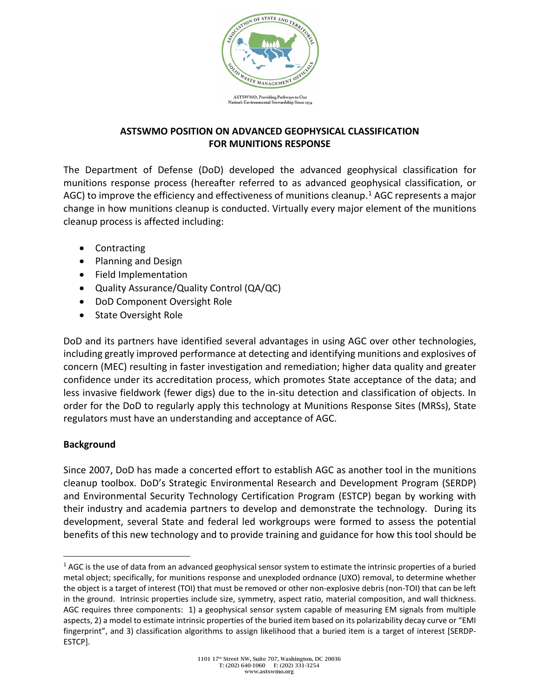

## **ASTSWMO POSITION ON ADVANCED GEOPHYSICAL CLASSIFICATION FOR MUNITIONS RESPONSE**

The Department of Defense (DoD) developed the advanced geophysical classification for munitions response process (hereafter referred to as advanced geophysical classification, or AGC) to improve the efficiency and effectiveness of munitions cleanup.<sup>[1](#page-0-0)</sup> AGC represents a major change in how munitions cleanup is conducted. Virtually every major element of the munitions cleanup process is affected including:

- Contracting
- Planning and Design
- Field Implementation
- Quality Assurance/Quality Control (QA/QC)
- DoD Component Oversight Role
- State Oversight Role

DoD and its partners have identified several advantages in using AGC over other technologies, including greatly improved performance at detecting and identifying munitions and explosives of concern (MEC) resulting in faster investigation and remediation; higher data quality and greater confidence under its accreditation process, which promotes State acceptance of the data; and less invasive fieldwork (fewer digs) due to the in-situ detection and classification of objects. In order for the DoD to regularly apply this technology at Munitions Response Sites (MRSs), State regulators must have an understanding and acceptance of AGC.

#### **Background**

Since 2007, DoD has made a concerted effort to establish AGC as another tool in the munitions cleanup toolbox. DoD's Strategic Environmental Research and Development Program (SERDP) and Environmental Security Technology Certification Program (ESTCP) began by working with their industry and academia partners to develop and demonstrate the technology. During its development, several State and federal led workgroups were formed to assess the potential benefits of this new technology and to provide training and guidance for how this tool should be

<span id="page-0-0"></span> $1$  AGC is the use of data from an advanced geophysical sensor system to estimate the intrinsic properties of a buried metal object; specifically, for munitions response and unexploded ordnance (UXO) removal, to determine whether the object is a target of interest (TOI) that must be removed or other non-explosive debris (non-TOI) that can be left in the ground. Intrinsic properties include size, symmetry, aspect ratio, material composition, and wall thickness. AGC requires three components: 1) a geophysical sensor system capable of measuring EM signals from multiple aspects, 2) a model to estimate intrinsic properties of the buried item based on its polarizability decay curve or "EMI fingerprint", and 3) classification algorithms to assign likelihood that a buried item is a target of interest [SERDP-ESTCP].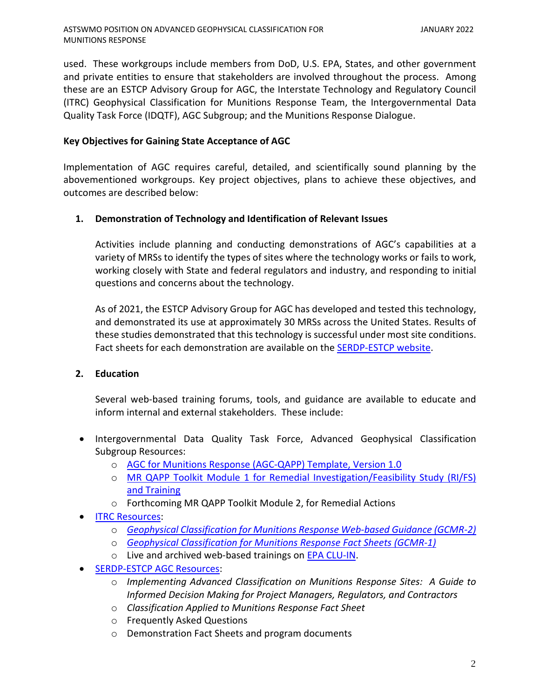used. These workgroups include members from DoD, U.S. EPA, States, and other government and private entities to ensure that stakeholders are involved throughout the process. Among these are an ESTCP Advisory Group for AGC, the Interstate Technology and Regulatory Council (ITRC) Geophysical Classification for Munitions Response Team, the Intergovernmental Data Quality Task Force (IDQTF), AGC Subgroup; and the Munitions Response Dialogue.

### **Key Objectives for Gaining State Acceptance of AGC**

Implementation of AGC requires careful, detailed, and scientifically sound planning by the abovementioned workgroups. Key project objectives, plans to achieve these objectives, and outcomes are described below:

### **1. Demonstration of Technology and Identification of Relevant Issues**

Activities include planning and conducting demonstrations of AGC's capabilities at a variety of MRSs to identify the types of sites where the technology works or fails to work, working closely with State and federal regulators and industry, and responding to initial questions and concerns about the technology.

As of 2021, the ESTCP Advisory Group for AGC has developed and tested this technology, and demonstrated its use at approximately 30 MRSs across the United States. Results of these studies demonstrated that this technology is successful under most site conditions. Fact sheets for each demonstration are available on the [SERDP-ESTCP website.](http://www.serdp-estcp.org/)

# **2. Education**

MUNITIONS RESPONSE

Several web-based training forums, tools, and guidance are available to educate and inform internal and external stakeholders. These include:

- Intergovernmental Data Quality Task Force, Advanced Geophysical Classification Subgroup Resources:
	- o [AGC for Munitions Response \(AGC-QAPP\) Template, Version 1.0](https://www.epa.gov/fedfac/uniform-federal-policy-quality-assurance-project-plans-template-advanced-geophysical)
	- o MR QAPP Toolkit Module 1 [for Remedial Investigation/Feasibility Study \(RI/FS\)](https://www.epa.gov/fedfac/uniform-federal-policy-quality-assurance-project-plans-munitions-response-qapp-toolkit) [and Training](https://www.epa.gov/fedfac/uniform-federal-policy-quality-assurance-project-plans-munitions-response-qapp-toolkit)
	- o Forthcoming MR QAPP Toolkit Module 2, for Remedial Actions
- [ITRC Resources:](http://www.itrcweb.org/)
	- o *[Geophysical Classification for Munitions Response Web-based Guidance \(GCMR-2\)](https://projects.itrcweb.org/gcmr-2/)*
	- o *[Geophysical Classification for Munitions Response Fact Sheets \(GCMR-1\)](http://itrcweb.org/GuidanceDocuments/GCMR-1.pdf)*
	- o Live and archived web-based trainings on [EPA CLU-IN.](https://clu-in.org/default.cfm)
- [SERDP-ESTCP AGC Resources:](https://www.serdp-estcp.org/Featured-Initiatives/Munitions-Response-Initiatives/Classification-Applied-to-Munitions-Response)
	- o *Implementing Advanced Classification on Munitions Response Sites: A Guide to Informed Decision Making for Project Managers, Regulators, and Contractors*
	- o *Classification Applied to Munitions Response Fact Sheet*
	- o Frequently Asked Questions
	- o Demonstration Fact Sheets and program documents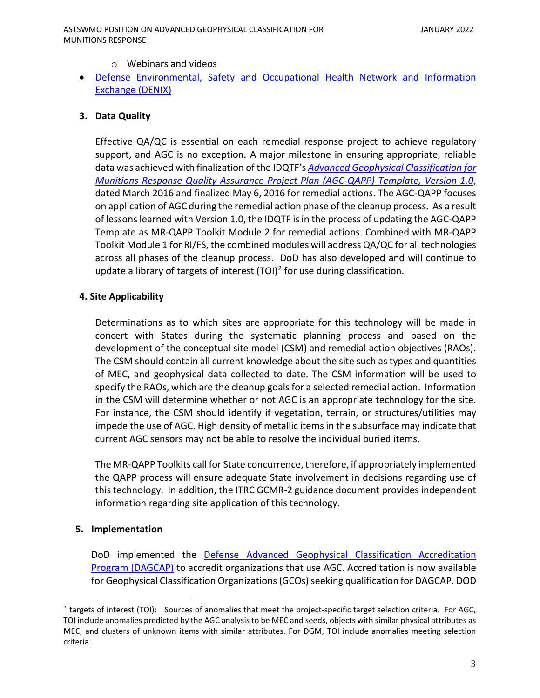- o Webinars and videos
- [Defense Environmental, Safety and Occupational Health Network and Information](https://www.denix.osd.mil/)  [Exchange \(DENIX\)](https://www.denix.osd.mil/)

## **3. Data Quality**

Effective QA/QC is essential on each remedial response project to achieve regulatory support, and AGC is no exception. A major milestone in ensuring appropriate, reliable data was achieved with finalization of the IDQTF's *[Advanced Geophysical Classification for](https://www.epa.gov/fedfac/uniform-federal-policy-quality-assurance-project-plans-template-advanced-geophysical)  [Munitions Response Quality Assurance Project Plan \(AGC-QAPP\) Template, Version 1.0](https://www.epa.gov/fedfac/uniform-federal-policy-quality-assurance-project-plans-template-advanced-geophysical)*, dated March 2016 and finalized May 6, 2016 for remedial actions. The AGC-QAPP focuses on application of AGC during the remedial action phase of the cleanup process. As a result of lessons learned with Version 1.0, the IDQTF is in the process of updating the AGC-QAPP Template as MR-QAPP Toolkit Module 2 for remedial actions. Combined with MR-QAPP Toolkit Module 1 for RI/FS, the combined modules will address QA/QC for all technologies across all phases of the cleanup process. DoD has also developed and will continue to update a library of targets of interest  $(TOI)^2$  for use during classification.

#### **4. Site Applicability**

Determinations as to which sites are appropriate for this technology will be made in concert with States during the systematic planning process and based on the development of the conceptual site model (CSM) and remedial action objectives (RAOs). The CSM should contain all current knowledge about the site such as types and quantities of MEC, and geophysical data collected to date. The CSM information will be used to specify the RAOs, which are the cleanup goals for a selected remedial action. Information in the CSM will determine whether or not AGC is an appropriate technology for the site. For instance, the CSM should identify if vegetation, terrain, or structures/utilities may impede the use of AGC. High density of metallic items in the subsurface may indicate that current AGC sensors may not be able to resolve the individual buried items.

The MR-QAPP Toolkits call for State concurrence, therefore, if appropriately implemented the QAPP process will ensure adequate State involvement in decisions regarding use of this technology. In addition, the ITRC GCMR-2 guidance document provides independent information regarding site application of this technology.

#### **5. Implementation**

DoD implemented the [Defense Advanced Geophysical Classification Accreditation](https://www.denix.osd.mil/mmrp/advanced-geophysical-classification-accreditation-and-other-tools/)  [Program \(DAGCAP\)](https://www.denix.osd.mil/mmrp/advanced-geophysical-classification-accreditation-and-other-tools/) to accredit organizations that use AGC. Accreditation is now available for Geophysical Classification Organizations (GCOs) seeking qualification for DAGCAP. DOD

<span id="page-2-0"></span> $2$  targets of interest (TOI): Sources of anomalies that meet the project-specific target selection criteria. For AGC, TOI include anomalies predicted by the AGC analysis to be MEC and seeds, objects with similar physical attributes as MEC, and clusters of unknown items with similar attributes. For DGM, TOI include anomalies meeting selection criteria.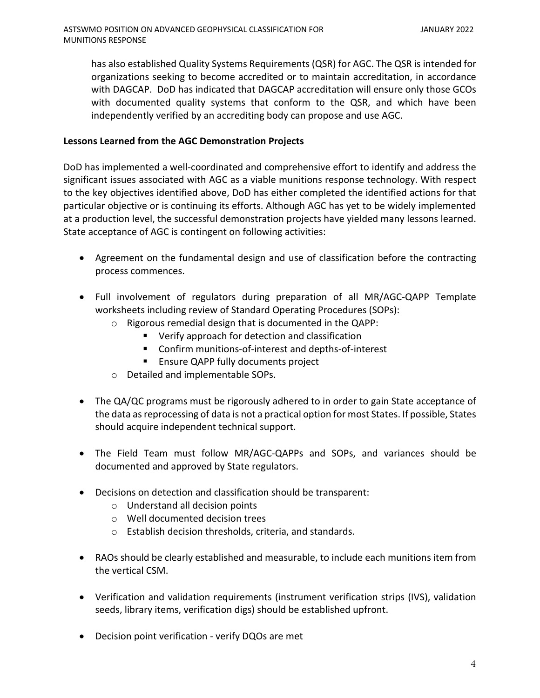has also established Quality Systems Requirements (QSR) for AGC. The QSR is intended for organizations seeking to become accredited or to maintain accreditation, in accordance with DAGCAP. DoD has indicated that DAGCAP accreditation will ensure only those GCOs with documented quality systems that conform to the QSR, and which have been independently verified by an accrediting body can propose and use AGC.

# **Lessons Learned from the AGC Demonstration Projects**

DoD has implemented a well-coordinated and comprehensive effort to identify and address the significant issues associated with AGC as a viable munitions response technology. With respect to the key objectives identified above, DoD has either completed the identified actions for that particular objective or is continuing its efforts. Although AGC has yet to be widely implemented at a production level, the successful demonstration projects have yielded many lessons learned. State acceptance of AGC is contingent on following activities:

- Agreement on the fundamental design and use of classification before the contracting process commences.
- Full involvement of regulators during preparation of all MR/AGC-QAPP Template worksheets including review of Standard Operating Procedures (SOPs):
	- o Rigorous remedial design that is documented in the QAPP:
		- Verify approach for detection and classification
		- Confirm munitions-of-interest and depths-of-interest
		- **Ensure QAPP fully documents project**
	- o Detailed and implementable SOPs.
- The QA/QC programs must be rigorously adhered to in order to gain State acceptance of the data as reprocessing of data is not a practical option for most States. If possible, States should acquire independent technical support.
- The Field Team must follow MR/AGC-QAPPs and SOPs, and variances should be documented and approved by State regulators.
- Decisions on detection and classification should be transparent:
	- o Understand all decision points
	- o Well documented decision trees
	- o Establish decision thresholds, criteria, and standards.
- RAOs should be clearly established and measurable, to include each munitions item from the vertical CSM.
- Verification and validation requirements (instrument verification strips (IVS), validation seeds, library items, verification digs) should be established upfront.
- Decision point verification verify DQOs are met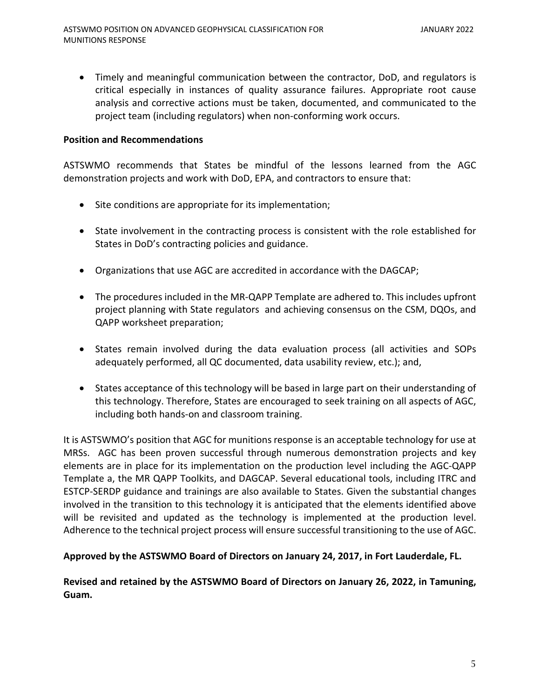• Timely and meaningful communication between the contractor, DoD, and regulators is critical especially in instances of quality assurance failures. Appropriate root cause analysis and corrective actions must be taken, documented, and communicated to the project team (including regulators) when non-conforming work occurs.

#### **Position and Recommendations**

ASTSWMO recommends that States be mindful of the lessons learned from the AGC demonstration projects and work with DoD, EPA, and contractors to ensure that:

- Site conditions are appropriate for its implementation;
- State involvement in the contracting process is consistent with the role established for States in DoD's contracting policies and guidance.
- Organizations that use AGC are accredited in accordance with the DAGCAP;
- The procedures included in the MR-QAPP Template are adhered to. This includes upfront project planning with State regulators and achieving consensus on the CSM, DQOs, and QAPP worksheet preparation;
- States remain involved during the data evaluation process (all activities and SOPs adequately performed, all QC documented, data usability review, etc.); and,
- States acceptance of this technology will be based in large part on their understanding of this technology. Therefore, States are encouraged to seek training on all aspects of AGC, including both hands-on and classroom training.

It is ASTSWMO's position that AGC for munitions response is an acceptable technology for use at MRSs. AGC has been proven successful through numerous demonstration projects and key elements are in place for its implementation on the production level including the AGC-QAPP Template a, the MR QAPP Toolkits, and DAGCAP. Several educational tools, including ITRC and ESTCP-SERDP guidance and trainings are also available to States. Given the substantial changes involved in the transition to this technology it is anticipated that the elements identified above will be revisited and updated as the technology is implemented at the production level. Adherence to the technical project process will ensure successful transitioning to the use of AGC.

#### **Approved by the ASTSWMO Board of Directors on January 24, 2017, in Fort Lauderdale, FL.**

**Revised and retained by the ASTSWMO Board of Directors on January 26, 2022, in Tamuning, Guam.**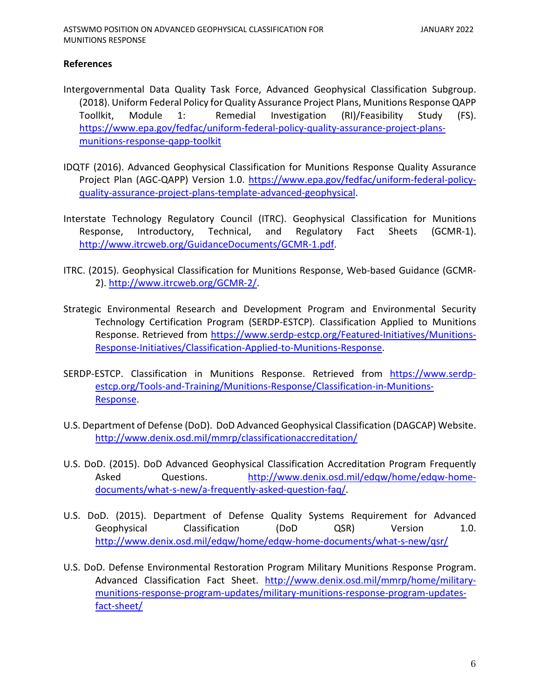## **References**

- Intergovernmental Data Quality Task Force, Advanced Geophysical Classification Subgroup. (2018). Uniform Federal Policy for Quality Assurance Project Plans, Munitions Response QAPP Toollkit, Module 1: Remedial Investigation (RI)/Feasibility Study (FS). [https://www.epa.gov/fedfac/uniform-federal-policy-quality-assurance-project-plans](https://www.epa.gov/fedfac/uniform-federal-policy-quality-assurance-project-plans-munitions-response-qapp-toolkit)[munitions-response-qapp-toolkit](https://www.epa.gov/fedfac/uniform-federal-policy-quality-assurance-project-plans-munitions-response-qapp-toolkit)
- IDQTF (2016). Advanced Geophysical Classification for Munitions Response Quality Assurance Project Plan (AGC-QAPP) Version 1.0. [https://www.epa.gov/fedfac/uniform-federal-policy](https://www.epa.gov/fedfac/uniform-federal-policy-quality-assurance-project-plans-template-advanced-geophysical)[quality-assurance-project-plans-template-advanced-geophysical.](https://www.epa.gov/fedfac/uniform-federal-policy-quality-assurance-project-plans-template-advanced-geophysical)
- Interstate Technology Regulatory Council (ITRC). Geophysical Classification for Munitions Response, Introductory, Technical, and Regulatory Fact Sheets (GCMR-1). [http://www.itrcweb.org/GuidanceDocuments/GCMR-1.pdf.](http://www.itrcweb.org/GuidanceDocuments/GCMR-1.pdf)
- ITRC. (2015). Geophysical Classification for Munitions Response, Web-based Guidance (GCMR-2). [http://www.itrcweb.org/GCMR-2/.](http://www.itrcweb.org/GCMR-2/)
- Strategic Environmental Research and Development Program and Environmental Security Technology Certification Program (SERDP-ESTCP). Classification Applied to Munitions Response. Retrieved from [https://www.serdp-estcp.org/Featured-Initiatives/Munitions-](https://www.serdp-estcp.org/Featured-Initiatives/Munitions-Response-Initiatives/Classification-Applied-to-Munitions-Response)[Response-Initiatives/Classification-Applied-to-Munitions-Response.](https://www.serdp-estcp.org/Featured-Initiatives/Munitions-Response-Initiatives/Classification-Applied-to-Munitions-Response)
- SERDP-ESTCP. Classification in Munitions Response. Retrieved from [https://www.serdp](https://www.serdp-estcp.org/Tools-and-Training/Munitions-Response/Classification-in-Munitions-Response)[estcp.org/Tools-and-Training/Munitions-Response/Classification-in-Munitions-](https://www.serdp-estcp.org/Tools-and-Training/Munitions-Response/Classification-in-Munitions-Response)[Response.](https://www.serdp-estcp.org/Tools-and-Training/Munitions-Response/Classification-in-Munitions-Response)
- U.S. Department of Defense (DoD). DoD Advanced Geophysical Classification (DAGCAP) Website. <http://www.denix.osd.mil/mmrp/classificationaccreditation/>
- U.S. DoD. (2015). DoD Advanced Geophysical Classification Accreditation Program Frequently Asked Questions. [http://www.denix.osd.mil/edqw/home/edqw-home](http://www.denix.osd.mil/edqw/home/edqw-home-documents/what-s-new/a-frequently-asked-question-faq/)[documents/what-s-new/a-frequently-asked-question-faq/.](http://www.denix.osd.mil/edqw/home/edqw-home-documents/what-s-new/a-frequently-asked-question-faq/)
- U.S. DoD. (2015). Department of Defense Quality Systems Requirement for Advanced Geophysical Classification (DoD QSR) Version 1.0. <http://www.denix.osd.mil/edqw/home/edqw-home-documents/what-s-new/qsr/>
- U.S. DoD. Defense Environmental Restoration Program Military Munitions Response Program. Advanced Classification Fact Sheet. [http://www.denix.osd.mil/mmrp/home/military](http://www.denix.osd.mil/mmrp/home/military-munitions-response-program-updates/military-munitions-response-program-updates-fact-sheet/)[munitions-response-program-updates/military-munitions-response-program-updates](http://www.denix.osd.mil/mmrp/home/military-munitions-response-program-updates/military-munitions-response-program-updates-fact-sheet/)[fact-sheet/](http://www.denix.osd.mil/mmrp/home/military-munitions-response-program-updates/military-munitions-response-program-updates-fact-sheet/)